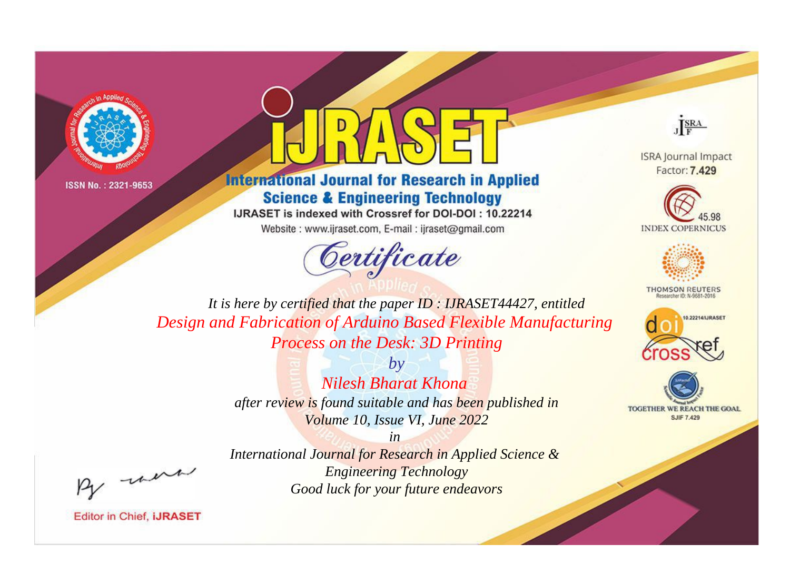



**International Journal for Research in Applied Science & Engineering Technology** 

IJRASET is indexed with Crossref for DOI-DOI: 10.22214

Website: www.ijraset.com, E-mail: ijraset@gmail.com





**ISRA Journal Impact** Factor: 7.429





**THOMSON REUTERS** 



TOGETHER WE REACH THE GOAL **SJIF 7.429** 

*It is here by certified that the paper ID : IJRASET44427, entitled Design and Fabrication of Arduino Based Flexible Manufacturing Process on the Desk: 3D Printing*

> *by Nilesh Bharat Khona after review is found suitable and has been published in Volume 10, Issue VI, June 2022*

, un

*International Journal for Research in Applied Science & Engineering Technology Good luck for your future endeavors*

*in*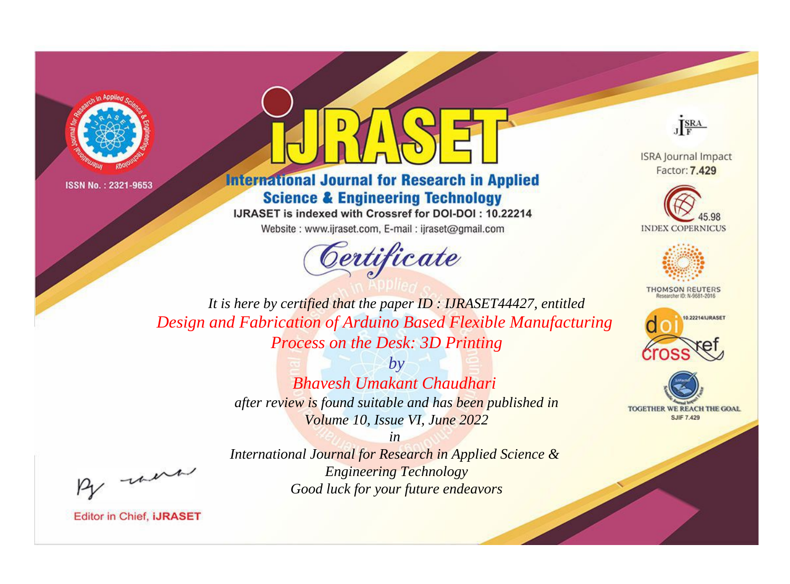



**International Journal for Research in Applied Science & Engineering Technology** 

IJRASET is indexed with Crossref for DOI-DOI: 10.22214

Website: www.ijraset.com, E-mail: ijraset@gmail.com





**ISRA Journal Impact** Factor: 7.429





**THOMSON REUTERS** 



TOGETHER WE REACH THE GOAL **SJIF 7.429** 

*It is here by certified that the paper ID : IJRASET44427, entitled Design and Fabrication of Arduino Based Flexible Manufacturing Process on the Desk: 3D Printing*

> *by Bhavesh Umakant Chaudhari after review is found suitable and has been published in Volume 10, Issue VI, June 2022*

, un

*International Journal for Research in Applied Science & Engineering Technology Good luck for your future endeavors*

*in*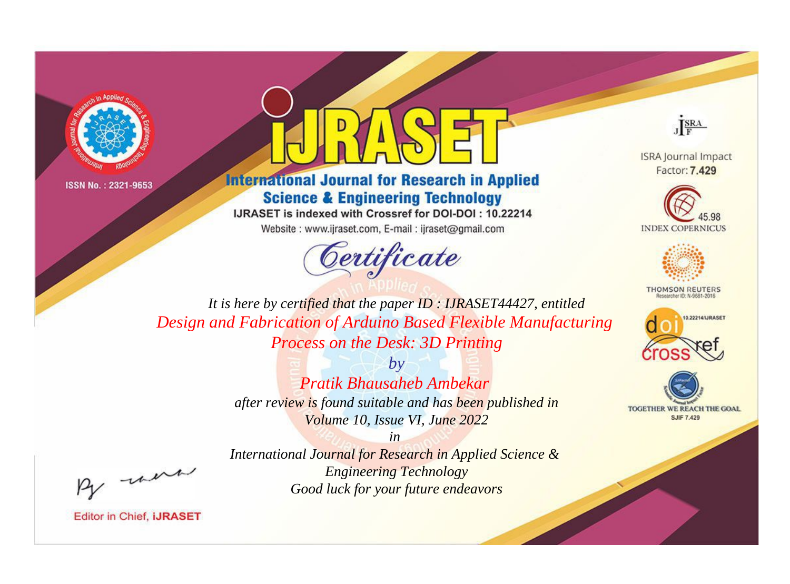



**International Journal for Research in Applied Science & Engineering Technology** 

IJRASET is indexed with Crossref for DOI-DOI: 10.22214

Website: www.ijraset.com, E-mail: ijraset@gmail.com





**ISRA Journal Impact** Factor: 7.429





**THOMSON REUTERS** 



TOGETHER WE REACH THE GOAL **SJIF 7.429** 

*It is here by certified that the paper ID : IJRASET44427, entitled Design and Fabrication of Arduino Based Flexible Manufacturing Process on the Desk: 3D Printing*

> *by Pratik Bhausaheb Ambekar after review is found suitable and has been published in Volume 10, Issue VI, June 2022*

> *in International Journal for Research in Applied Science & Engineering Technology Good luck for your future endeavors*

, un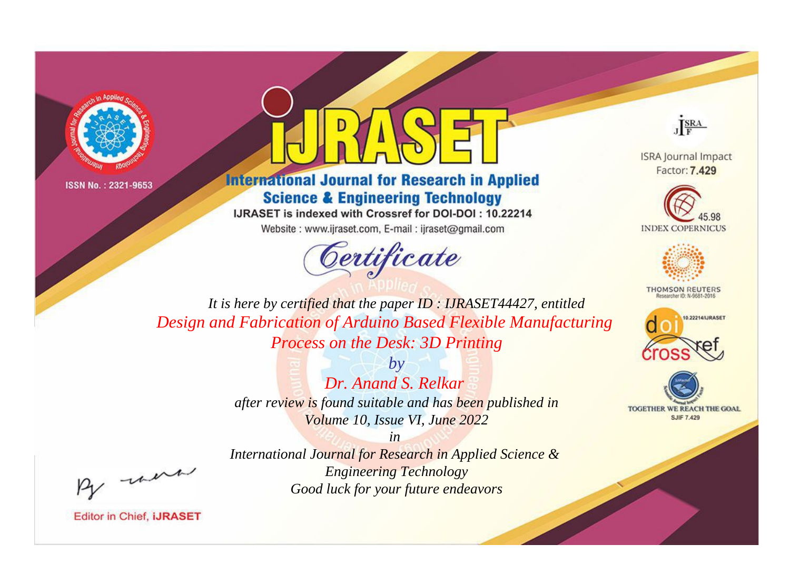



**International Journal for Research in Applied Science & Engineering Technology** 

IJRASET is indexed with Crossref for DOI-DOI: 10.22214

Website: www.ijraset.com, E-mail: ijraset@gmail.com





**ISRA Journal Impact** Factor: 7.429





**THOMSON REUTERS** 



TOGETHER WE REACH THE GOAL **SJIF 7.429** 

*It is here by certified that the paper ID : IJRASET44427, entitled Design and Fabrication of Arduino Based Flexible Manufacturing Process on the Desk: 3D Printing*

> *by Dr. Anand S. Relkar after review is found suitable and has been published in Volume 10, Issue VI, June 2022*

> > *in*

*International Journal for Research in Applied Science & Engineering Technology Good luck for your future endeavors*

, un